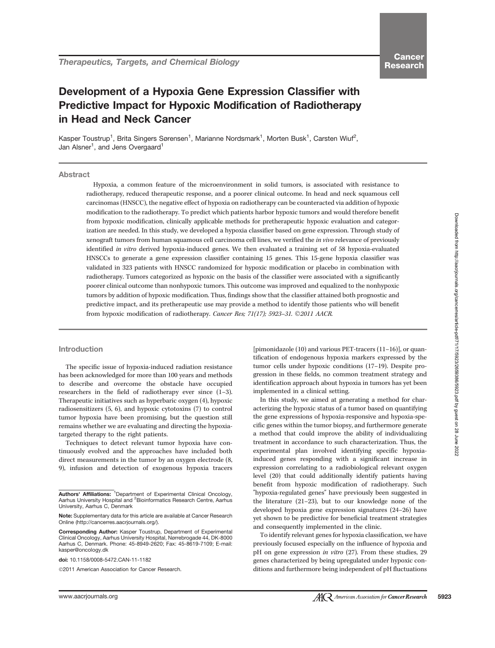# Downloaded from http://aacrjournals.org/cancerres/article-pdf/71/17/5923/2659386/5923.pdf by guest on 28 June 2022 Downloaded from http://aacrjournals.org/cancerres/article-pdf/71/17/5923/2659386/5923.pdf by guest on 28 June 2022

# Development of a Hypoxia Gene Expression Classifier with Predictive Impact for Hypoxic Modification of Radiotherapy in Head and Neck Cancer

Kasper Toustrup<sup>1</sup>, Brita Singers Sørensen<sup>1</sup>, Marianne Nordsmark<sup>1</sup>, Morten Busk<sup>1</sup>, Carsten Wiuf<sup>2</sup>, Jan Alsner<sup>1</sup>, and Jens Overgaard<sup>1</sup>

# Abstract

Hypoxia, a common feature of the microenvironment in solid tumors, is associated with resistance to radiotherapy, reduced therapeutic response, and a poorer clinical outcome. In head and neck squamous cell carcinomas (HNSCC), the negative effect of hypoxia on radiotherapy can be counteracted via addition of hypoxic modification to the radiotherapy. To predict which patients harbor hypoxic tumors and would therefore benefit from hypoxic modification, clinically applicable methods for pretherapeutic hypoxic evaluation and categorization are needed. In this study, we developed a hypoxia classifier based on gene expression. Through study of xenograft tumors from human squamous cell carcinoma cell lines, we verified the in vivo relevance of previously identified in vitro derived hypoxia-induced genes. We then evaluated a training set of 58 hypoxia-evaluated HNSCCs to generate a gene expression classifier containing 15 genes. This 15-gene hypoxia classifier was validated in 323 patients with HNSCC randomized for hypoxic modification or placebo in combination with radiotherapy. Tumors categorized as hypoxic on the basis of the classifier were associated with a significantly poorer clinical outcome than nonhypoxic tumors. This outcome was improved and equalized to the nonhypoxic tumors by addition of hypoxic modification. Thus, findings show that the classifier attained both prognostic and predictive impact, and its pretherapeutic use may provide a method to identify those patients who will benefit from hypoxic modification of radiotherapy. Cancer Res; 71(17); 5923-31. 2011 AACR.

### Introduction

The specific issue of hypoxia-induced radiation resistance has been acknowledged for more than 100 years and methods to describe and overcome the obstacle have occupied researchers in the field of radiotherapy ever since (1–3). Therapeutic initiatives such as hyperbaric oxygen (4), hypoxic radiosensitizers (5, 6), and hypoxic cytotoxins (7) to control tumor hypoxia have been promising, but the question still remains whether we are evaluating and directing the hypoxiatargeted therapy to the right patients.

Techniques to detect relevant tumor hypoxia have continuously evolved and the approaches have included both direct measurements in the tumor by an oxygen electrode (8, 9), infusion and detection of exogenous hypoxia tracers

Corresponding Author: Kasper Toustrup, Department of Experimental Clinical Oncology, Aarhus University Hospital, Nørrebrogade 44, DK-8000 Aarhus C, Denmark. Phone: 45-8949-2620; Fax: 45-8619-7109; E-mail: kasper@oncology.dk

doi: 10.1158/0008-5472.CAN-11-1182

2011 American Association for Cancer Research.

[pimonidazole (10) and various PET-tracers (11–16)], or quantification of endogenous hypoxia markers expressed by the tumor cells under hypoxic conditions (17–19). Despite progression in these fields, no common treatment strategy and identification approach about hypoxia in tumors has yet been implemented in a clinical setting.

In this study, we aimed at generating a method for characterizing the hypoxic status of a tumor based on quantifying the gene expressions of hypoxia-responsive and hypoxia-specific genes within the tumor biopsy, and furthermore generate a method that could improve the ability of individualizing treatment in accordance to such characterization. Thus, the experimental plan involved identifying specific hypoxiainduced genes responding with a significant increase in expression correlating to a radiobiological relevant oxygen level (20) that could additionally identify patients having benefit from hypoxic modification of radiotherapy. Such "hypoxia-regulated genes" have previously been suggested in the literature (21–23), but to our knowledge none of the developed hypoxia gene expression signatures (24–26) have yet shown to be predictive for beneficial treatment strategies and consequently implemented in the clinic.

To identify relevant genes for hypoxia classification, we have previously focused especially on the influence of hypoxia and pH on gene expression in vitro (27). From these studies, 29 genes characterized by being upregulated under hypoxic conditions and furthermore being independent of pH fluctuations

Authors' Affiliations: <sup>1</sup>Department of Experimental Clinical Oncology, Aarhus University Hospital and <sup>2</sup> Bioinformatics Research Centre, Aarhus University, Aarhus C, Denmark

Note: Supplementary data for this article are available at Cancer Research Online (http://cancerres.aacrjournals.org/).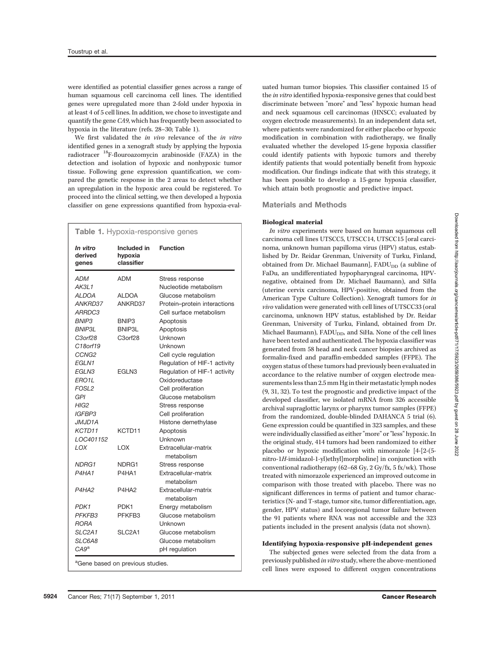were identified as potential classifier genes across a range of human squamous cell carcinoma cell lines. The identified genes were upregulated more than 2-fold under hypoxia in at least 4 of 5 cell lines. In addition, we chose to investigate and quantify the gene CA9, which has frequently been associated to hypoxia in the literature (refs. 28–30; Table 1).

We first validated the in vivo relevance of the in vitro identified genes in a xenograft study by applying the hypoxia radiotracer 18F-flouroazomycin arabinoside (FAZA) in the detection and isolation of hypoxic and nonhypoxic tumor tissue. Following gene expression quantification, we compared the genetic response in the 2 areas to detect whether an upregulation in the hypoxic area could be registered. To proceed into the clinical setting, we then developed a hypoxia classifier on gene expressions quantified from hypoxia-eval-

| Table 1. Hypoxia-responsive genes                 |                                      |                                    |
|---------------------------------------------------|--------------------------------------|------------------------------------|
| In vitro<br>derived<br>genes                      | Included in<br>hypoxia<br>classifier | <b>Function</b>                    |
| <b>ADM</b>                                        | <b>ADM</b>                           | Stress response                    |
| AK3L1                                             |                                      | Nucleotide metabolism              |
| <b>ALDOA</b>                                      | <b>ALDOA</b>                         | Glucose metabolism                 |
| ANKRD37                                           | ANKRD37                              | Protein-protein interactions       |
| ARRDC3                                            |                                      | Cell surface metabolism            |
| BNIP3                                             | BNIP3                                | Apoptosis                          |
| <b>BNIP3L</b>                                     | BNIP3L                               | Apoptosis                          |
| C3orf28                                           | C3orf28                              | <b>Unknown</b>                     |
| C18orf19                                          |                                      | Unknown                            |
| CCNG <sub>2</sub>                                 |                                      | Cell cycle regulation              |
| EGLN1                                             |                                      | Regulation of HIF-1 activity       |
| EGLN3                                             | EGLN3                                | Regulation of HIF-1 activity       |
| ERO1L                                             |                                      | Oxidoreductase                     |
| FOSL <sub>2</sub>                                 |                                      | Cell proliferation                 |
| GPI                                               |                                      | Glucose metabolism                 |
| HIG2                                              |                                      | Stress response                    |
| <b>IGFBP3</b>                                     |                                      | Cell proliferation                 |
| JMJD1A                                            |                                      | Histone demethylase                |
| KCTD11                                            | KCTD11                               | Apoptosis                          |
| LOC401152                                         |                                      | Unknown                            |
| LOX                                               | LOX                                  | Extracellular-matrix<br>metabolism |
| NDRG1                                             | NDRG1                                | Stress response                    |
| P4HA1                                             | P4HA1                                | Extracellular-matrix<br>metabolism |
| P4HA2                                             | P4HA <sub>2</sub>                    | Extracellular-matrix<br>metabolism |
| PDK1                                              | PDK1                                 | Energy metabolism                  |
| PFKFB3                                            | PFKFB3                               | Glucose metabolism                 |
| <b>RORA</b>                                       |                                      | Unknown                            |
| SLC <sub>2A1</sub>                                | SLC <sub>2A1</sub>                   | Glucose metabolism                 |
| SLC6A8                                            |                                      | Glucose metabolism                 |
| $C A 9^a$                                         |                                      | pH regulation                      |
| $a_{\text{Cana}}$ hosed as<br>ومنامسهم ويبون بمعو |                                      |                                    |

<sup>a</sup>Gene based on previous studies.

uated human tumor biopsies. This classifier contained 15 of the in vitro identified hypoxia-responsive genes that could best discriminate between "more" and "less" hypoxic human head and neck squamous cell carcinomas (HNSCC; evaluated by oxygen electrode measurements). In an independent data set, where patients were randomized for either placebo or hypoxic modification in combination with radiotherapy, we finally evaluated whether the developed 15-gene hypoxia classifier could identify patients with hypoxic tumors and thereby identify patients that would potentially benefit from hypoxic modification. Our findings indicate that with this strategy, it has been possible to develop a 15-gene hypoxia classifier, which attain both prognostic and predictive impact.

# Materials and Methods

# Biological material

In vitro experiments were based on human squamous cell carcinoma cell lines UTSCC5, UTSCC14, UTSCC15 [oral carcinoma, unknown human papilloma virus (HPV) status, established by Dr. Reidar Grenman, University of Turku, Finland, obtained from Dr. Michael Baumann],  $FADU<sub>DD</sub>$  (a subline of FaDu, an undifferentiated hypopharyngeal carcinoma, HPVnegative, obtained from Dr. Michael Baumann), and SiHa (uterine cervix carcinoma, HPV-positive, obtained from the American Type Culture Collection). Xenograft tumors for in vivo validation were generated with cell lines of UTSCC33 (oral carcinoma, unknown HPV status, established by Dr. Reidar Grenman, University of Turku, Finland, obtained from Dr. Michael Baumann), FADU<sub>DD</sub>, and SiHa. None of the cell lines have been tested and authenticated. The hypoxia classifier was generated from 58 head and neck cancer biopsies archived as formalin-fixed and paraffin-embedded samples (FFPE). The oxygen status of these tumors had previously been evaluated in accordance to the relative number of oxygen electrode measurements less than 2.5 mm Hg in their metastatic lymph nodes (9, 31, 32). To test the prognostic and predictive impact of the developed classifier, we isolated mRNA from 326 accessible archival supraglottic larynx or pharynx tumor samples (FFPE) from the randomized, double-blinded DAHANCA 5 trial (6). Gene expression could be quantified in 323 samples, and these were individually classified as either "more" or "less" hypoxic. In the original study, 414 tumors had been randomized to either placebo or hypoxic modification with nimorazole [4-[2-(5 nitro-1H-imidazol-1-yl)ethyl]morpholine] in conjunction with conventional radiotherapy (62–68 Gy, 2 Gy/fx, 5 fx/wk). Those treated with nimorazole experienced an improved outcome in comparison with those treated with placebo. There was no significant differences in terms of patient and tumor characteristics (N- and T-stage, tumor site, tumor differentiation, age, gender, HPV status) and locoregional tumor failure between the 91 patients where RNA was not accessible and the 323 patients included in the present analysis (data not shown).

### Identifying hypoxia-responsive pH-independent genes

The subjected genes were selected from the data from a previously published in vitro study, where the above-mentioned cell lines were exposed to different oxygen concentrations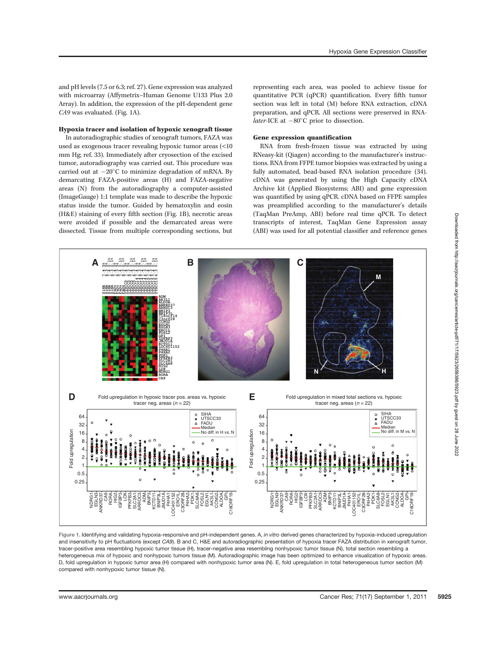and pH levels (7.5 or 6.3; ref. 27). Gene expression was analyzed with microarray (Affymetrix–Human Genome U133 Plus 2.0 Array). In addition, the expression of the pH-dependent gene CA9 was evaluated. (Fig. 1A).

### Hypoxia tracer and isolation of hypoxic xenograft tissue

In autoradiographic studies of xenograft tumors, FAZA was used as exogenous tracer revealing hypoxic tumor areas (<10 mm Hg; ref. 33). Immediately after cryosection of the excised tumor, autoradiography was carried out. This procedure was carried out at  $-20^{\circ}$ C to minimize degradation of mRNA. By demarcating FAZA-positive areas (H) and FAZA-negative areas (N) from the autoradiography a computer-assisted (ImageGauge) 1:1 template was made to describe the hypoxic status inside the tumor. Guided by hematoxylin and eosin (H&E) staining of every fifth section (Fig. 1B), necrotic areas were avoided if possible and the demarcated areas were dissected. Tissue from multiple corresponding sections, but representing each area, was pooled to achieve tissue for quantitative PCR (qPCR) quantification. Every fifth tumor section was left in total (M) before RNA extraction, cDNA preparation, and qPCR. All sections were preserved in RNA*later*-ICE at  $-80^{\circ}$ C prior to dissection.

### Gene expression quantification

RNA from fresh-frozen tissue was extracted by using RNeasy-kit (Qiagen) according to the manufacturer's instructions. RNA from FFPE tumor biopsies was extracted by using a fully automated, bead-based RNA isolation procedure (34). cDNA was generated by using the High Capacity cDNA Archive kit (Applied Biosystems; ABI) and gene expression was quantified by using qPCR. cDNA based on FFPE samples was preamplified according to the manufacturer's details (TaqMan PreAmp, ABI) before real time qPCR. To detect transcripts of interest, TaqMan Gene Expression assay (ABI) was used for all potential classifier and reference genes



Figure 1. Identifying and validating hypoxia-responsive and pH-independent genes. A, in vitro derived genes characterized by hypoxia-induced upregulation and insensitivity to pH fluctuations (except CA9). B and C, H&E and autoradiographic presentation of hypoxia tracer FAZA distribution in xenograft tumor, tracer-positive area resembling hypoxic tumor tissue (H), tracer-negative area resembling nonhypoxic tumor tissue (N), total section resembling a heterogeneous mix of hypoxic and nonhypoxic tumors tissue (M). Autoradiographic image has been optimized to enhance visualization of hypoxic areas. D, fold upregulation in hypoxic tumor area (H) compared with nonhypoxic tumor area (N). E, fold upregulation in total heterogeneous tumor section (M) compared with nonhypoxic tumor tissue (N).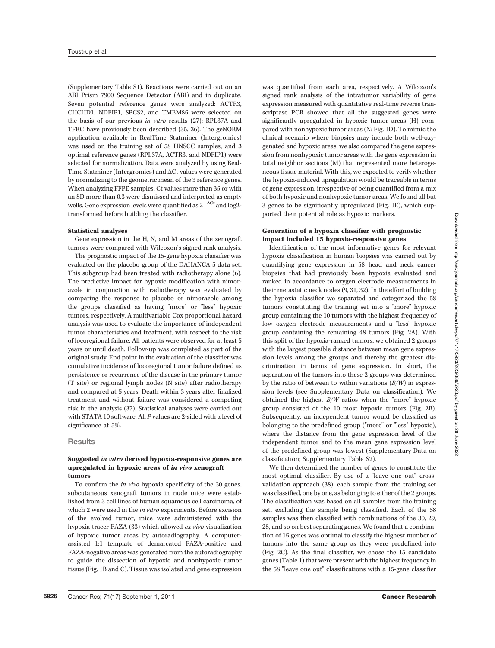(Supplementary Table S1). Reactions were carried out on an ABI Prism 7900 Sequence Detector (ABI) and in duplicate. Seven potential reference genes were analyzed: ACTR3, CHCHD1, NDFIP1, SPCS2, and TMEM85 were selected on the basis of our previous in vitro results (27); RPL37A and TFRC have previously been described (35, 36). The geNORM application available in RealTime Statminer (Intergromics) was used on the training set of 58 HNSCC samples, and 3 optimal reference genes (RPL37A, ACTR3, and NDFIP1) were selected for normalization. Data were analyzed by using Real-Time Statminer (Intergromics) and  $\Delta$ Ct values were generated by normalizing to the geometric mean of the 3 reference genes. When analyzing FFPE samples, Ct values more than 35 or with an SD more than 0.3 were dismissed and interpreted as empty wells. Gene expression levels were quantified as  $2^{-\Delta Ct}$  and log2transformed before building the classifier.

### Statistical analyses

Gene expression in the H, N, and M areas of the xenograft tumors were compared with Wilcoxon's signed rank analysis.

The prognostic impact of the 15-gene hypoxia classifier was evaluated on the placebo group of the DAHANCA 5 data set. This subgroup had been treated with radiotherapy alone (6). The predictive impact for hypoxic modification with nimorazole in conjunction with radiotherapy was evaluated by comparing the response to placebo or nimorazole among the groups classified as having "more" or "less" hypoxic tumors, respectively. A multivariable Cox proportional hazard analysis was used to evaluate the importance of independent tumor characteristics and treatment, with respect to the risk of locoregional failure. All patients were observed for at least 5 years or until death. Follow-up was completed as part of the original study. End point in the evaluation of the classifier was cumulative incidence of locoregional tumor failure defined as persistence or recurrence of the disease in the primary tumor (T site) or regional lymph nodes (N site) after radiotherapy and compared at 5 years. Death within 3 years after finalized treatment and without failure was considered a competing risk in the analysis (37). Statistical analyses were carried out with STATA 10 software. All P values are 2-sided with a level of significance at 5%.

### **Results**

### Suggested in vitro derived hypoxia-responsive genes are upregulated in hypoxic areas of in vivo xenograft tumors

To confirm the in vivo hypoxia specificity of the 30 genes, subcutaneous xenograft tumors in nude mice were established from 3 cell lines of human squamous cell carcinoma, of which 2 were used in the in vitro experiments. Before excision of the evolved tumor, mice were administered with the hypoxia tracer FAZA (33) which allowed ex vivo visualization of hypoxic tumor areas by autoradiography. A computerassisted 1:1 template of demarcated FAZA-positive and FAZA-negative areas was generated from the autoradiography to guide the dissection of hypoxic and nonhypoxic tumor tissue (Fig. 1B and C). Tissue was isolated and gene expression was quantified from each area, respectively. A Wilcoxon's signed rank analysis of the intratumor variability of gene expression measured with quantitative real-time reverse transcriptase PCR showed that all the suggested genes were significantly upregulated in hypoxic tumor areas (H) compared with nonhypoxic tumor areas (N; Fig. 1D). To mimic the clinical scenario where biopsies may include both well-oxygenated and hypoxic areas, we also compared the gene expression from nonhypoxic tumor areas with the gene expression in total neighbor sections (M) that represented more heterogeneous tissue material. With this, we expected to verify whether the hypoxia-induced upregulation would be traceable in terms of gene expression, irrespective of being quantified from a mix of both hypoxic and nonhypoxic tumor areas. We found all but 3 genes to be significantly upregulated (Fig. 1E), which supported their potential role as hypoxic markers.

### Generation of a hypoxia classifier with prognostic impact included 15 hypoxia-responsive genes

Identification of the most informative genes for relevant hypoxia classification in human biopsies was carried out by quantifying gene expression in 58 head and neck cancer biopsies that had previously been hypoxia evaluated and ranked in accordance to oxygen electrode measurements in their metastatic neck nodes (9, 31, 32). In the effort of building the hypoxia classifier we separated and categorized the 58 tumors constituting the training set into a "more" hypoxic group containing the 10 tumors with the highest frequency of low oxygen electrode measurements and a "less" hypoxic group containing the remaining 48 tumors (Fig. 2A). With this split of the hypoxia-ranked tumors, we obtained 2 groups with the largest possible distance between mean gene expression levels among the groups and thereby the greatest discrimination in terms of gene expression. In short, the separation of the tumors into these 2 groups was determined by the ratio of between to within variations  $(B/W)$  in expression levels (see Supplementary Data on classification). We obtained the highest B/W ratios when the "more" hypoxic group consisted of the 10 most hypoxic tumors (Fig. 2B). Subsequently, an independent tumor would be classified as belonging to the predefined group ("more" or "less" hypoxic), where the distance from the gene expression level of the independent tumor and to the mean gene expression level of the predefined group was lowest (Supplementary Data on classification; Supplementary Table S2).

We then determined the number of genes to constitute the most optimal classifier. By use of a "leave one out" crossvalidation approach (38), each sample from the training set was classified, one by one, as belonging to either of the 2 groups. The classification was based on all samples from the training set, excluding the sample being classified. Each of the 58 samples was then classified with combinations of the 30, 29, 28, and so on best separating genes. We found that a combination of 15 genes was optimal to classify the highest number of tumors into the same group as they were predefined into (Fig. 2C). As the final classifier, we chose the 15 candidate genes (Table 1) that were present with the highest frequency in the 58 "leave one out" classifications with a 15-gene classifier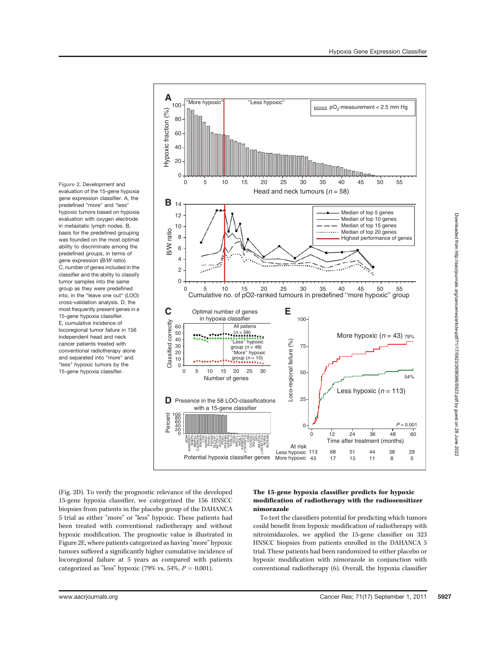Figure 2. Development and evaluation of the 15-gene hypoxia gene expression classifier. A, the predefined "more" and "less" hypoxic tumors based on hypoxia evaluation with oxygen electrode in metastatic lymph nodes. B, basis for the predefined grouping was founded on the most optimal ability to discriminate among the predefined groups, in terms of gene expression (B/W ratio). C, number of genes included in the classifier and the ability to classify tumor samples into the same group as they were predefined into, in the "leave one out" (LOO) cross-validation analysis. D, the most frequently present genes in a 15-gene hypoxia classifier. E, cumulative incidence of locoregional tumor failure in 156 independent head and neck cancer patients treated with conventional radiotherapy alone and separated into "more" and "less" hypoxic tumors by the 15-gene hypoxia classifier.



(Fig. 2D). To verify the prognostic relevance of the developed 15-gene hypoxia classifier, we categorized the 156 HNSCC biopsies from patients in the placebo group of the DAHANCA 5 trial as either "more" or "less" hypoxic. These patients had been treated with conventional radiotherapy and without hypoxic modification. The prognostic value is illustrated in Figure 2E, where patients categorized as having "more" hypoxic tumors suffered a significantly higher cumulative incidence of locoregional failure at 5 years as compared with patients categorized as "less" hypoxic (79% vs. 54%,  $P = 0.001$ ).

## The 15-gene hypoxia classifier predicts for hypoxic modification of radiotherapy with the radiosensitizer nimorazole

To test the classifiers potential for predicting which tumors could benefit from hypoxic modification of radiotherapy with nitroimidazoles, we applied the 15-gene classifier on 323 HNSCC biopsies from patients enrolled in the DAHANCA 5 trial. These patients had been randomized to either placebo or hypoxic modification with nimorazole in conjunction with conventional radiotherapy (6). Overall, the hypoxia classifier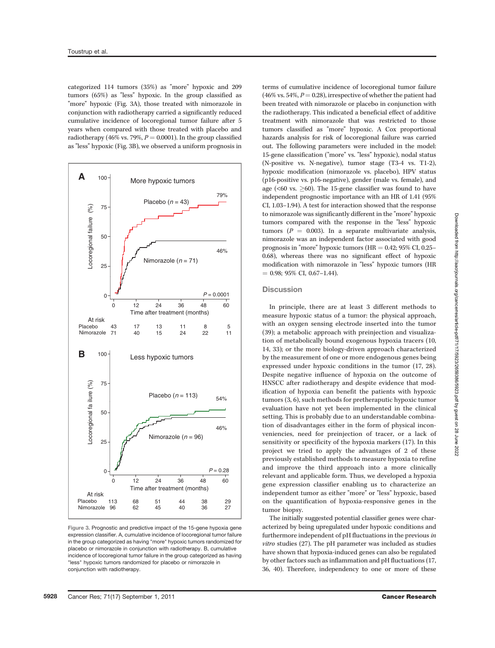categorized 114 tumors (35%) as "more" hypoxic and 209 tumors (65%) as "less" hypoxic. In the group classified as "more" hypoxic (Fig. 3A), those treated with nimorazole in conjunction with radiotherapy carried a significantly reduced cumulative incidence of locoregional tumor failure after 5 years when compared with those treated with placebo and radiotherapy (46% vs. 79%,  $P = 0.0001$ ). In the group classified as "less" hypoxic (Fig. 3B), we observed a uniform prognosis in



Figure 3. Prognostic and predictive impact of the 15-gene hypoxia gene expression classifier. A, cumulative incidence of locoregional tumor failure in the group categorized as having "more" hypoxic tumors randomized for placebo or nimorazole in conjunction with radiotherapy. B, cumulative incidence of locoregional tumor failure in the group categorized as having "less" hypoxic tumors randomized for placebo or nimorazole in conjunction with radiotherapy.

terms of cumulative incidence of locoregional tumor failure  $(46\% \text{ vs. } 54\%, P = 0.28)$ , irrespective of whether the patient had been treated with nimorazole or placebo in conjunction with the radiotherapy. This indicated a beneficial effect of additive treatment with nimorazole that was restricted to those tumors classified as "more" hypoxic. A Cox proportional hazards analysis for risk of locoregional failure was carried out. The following parameters were included in the model: 15-gene classification ("more" vs. "less" hypoxic), nodal status (N-positive vs. N-negative), tumor stage (T3-4 vs. T1-2), hypoxic modification (nimorazole vs. placebo), HPV status (p16-positive vs. p16-negative), gender (male vs. female), and age ( $\leq 60$  vs.  $\geq 60$ ). The 15-gene classifier was found to have independent prognostic importance with an HR of 1.41 (95% CI, 1.03–1.94). A test for interaction showed that the response to nimorazole was significantly different in the "more" hypoxic tumors compared with the response in the "less" hypoxic tumors ( $P = 0.003$ ). In a separate multivariate analysis, nimorazole was an independent factor associated with good prognosis in "more" hypoxic tumors (HR  $= 0.42$ ; 95% CI, 0.25– 0.68), whereas there was no significant effect of hypoxic modification with nimorazole in "less" hypoxic tumors (HR  $= 0.98$ ; 95% CI, 0.67-1.44).

### **Discussion**

In principle, there are at least 3 different methods to measure hypoxic status of a tumor: the physical approach, with an oxygen sensing electrode inserted into the tumor (39); a metabolic approach with preinjection and visualization of metabolically bound exogenous hypoxia tracers (10, 14, 33); or the more biology-driven approach characterized by the measurement of one or more endogenous genes being expressed under hypoxic conditions in the tumor (17, 28). Despite negative influence of hypoxia on the outcome of HNSCC after radiotherapy and despite evidence that modification of hypoxia can benefit the patients with hypoxic tumors (3, 6), such methods for pretheraputic hypoxic tumor evaluation have not yet been implemented in the clinical setting. This is probably due to an understandable combination of disadvantages either in the form of physical inconveniencies, need for preinjection of tracer, or a lack of sensitivity or specificity of the hypoxia markers (17). In this project we tried to apply the advantages of 2 of these previously established methods to measure hypoxia to refine and improve the third approach into a more clinically relevant and applicable form. Thus, we developed a hypoxia gene expression classifier enabling us to characterize an independent tumor as either "more" or "less" hypoxic, based on the quantification of hypoxia-responsive genes in the tumor biopsy.

The initially suggested potential classifier genes were characterized by being upregulated under hypoxic conditions and furthermore independent of pH fluctuations in the previous in vitro studies (27). The pH parameter was included as studies have shown that hypoxia-induced genes can also be regulated by other factors such as inflammation and pH fluctuations (17, 36, 40). Therefore, independency to one or more of these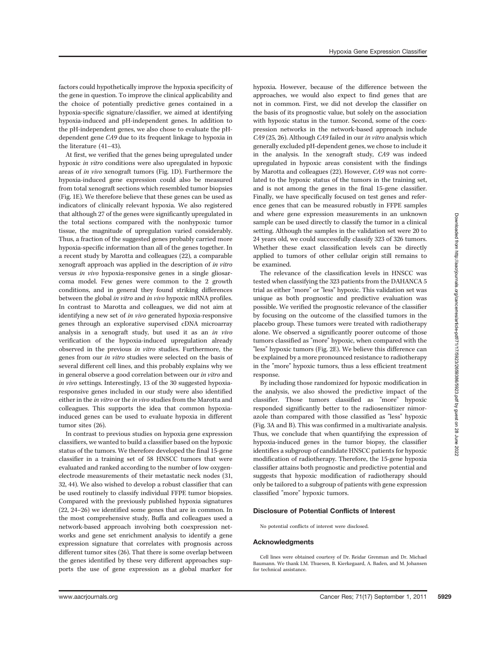factors could hypothetically improve the hypoxia specificity of the gene in question. To improve the clinical applicability and the choice of potentially predictive genes contained in a hypoxia-specific signature/classifier, we aimed at identifying hypoxia-induced and pH-independent genes. In addition to the pH-independent genes, we also chose to evaluate the pHdependent gene CA9 due to its frequent linkage to hypoxia in the literature (41–43).

At first, we verified that the genes being upregulated under hypoxic in vitro conditions were also upregulated in hypoxic areas of in vivo xenograft tumors (Fig. 1D). Furthermore the hypoxia-induced gene expression could also be measured from total xenograft sections which resembled tumor biopsies (Fig. 1E). We therefore believe that these genes can be used as indicators of clinically relevant hypoxia. We also registered that although 27 of the genes were significantly upregulated in the total sections compared with the nonhypoxic tumor tissue, the magnitude of upregulation varied considerably. Thus, a fraction of the suggested genes probably carried more hypoxia-specific information than all of the genes together. In a recent study by Marotta and colleagues (22), a comparable xenograft approach was applied in the description of in vitro versus in vivo hypoxia-responsive genes in a single gliosarcoma model. Few genes were common to the 2 growth conditions, and in general they found striking differences between the global in vitro and in vivo hypoxic mRNA profiles. In contrast to Marotta and colleagues, we did not aim at identifying a new set of in vivo generated hypoxia-responsive genes through an explorative supervised cDNA microarray analysis in a xenograft study, but used it as an in vivo verification of the hypoxia-induced upregulation already observed in the previous in vitro studies. Furthermore, the genes from our in vitro studies were selected on the basis of several different cell lines, and this probably explains why we in general observe a good correlation between our in vitro and in vivo settings. Interestingly, 13 of the 30 suggested hypoxiaresponsive genes included in our study were also identified either in the in vitro or the in vivo studies from the Marotta and colleagues. This supports the idea that common hypoxiainduced genes can be used to evaluate hypoxia in different tumor sites (26).

In contrast to previous studies on hypoxia gene expression classifiers, we wanted to build a classifier based on the hypoxic status of the tumors. We therefore developed the final 15-gene classifier in a training set of 58 HNSCC tumors that were evaluated and ranked according to the number of low oxygenelectrode measurements of their metastatic neck nodes (31, 32, 44). We also wished to develop a robust classifier that can be used routinely to classify individual FFPE tumor biopsies. Compared with the previously published hypoxia signatures (22, 24–26) we identified some genes that are in common. In the most comprehensive study, Buffa and colleagues used a network-based approach involving both coexpression networks and gene set enrichment analysis to identify a gene expression signature that correlates with prognosis across different tumor sites (26). That there is some overlap between the genes identified by these very different approaches supports the use of gene expression as a global marker for

hypoxia. However, because of the difference between the approaches, we would also expect to find genes that are not in common. First, we did not develop the classifier on the basis of its prognostic value, but solely on the association with hypoxic status in the tumor. Second, some of the coexpression networks in the network-based approach include CA9 (25, 26). Although CA9 failed in our in vitro analysis which generally excluded pH-dependent genes, we chose to include it in the analysis. In the xenograft study, CA9 was indeed upregulated in hypoxic areas consistent with the findings by Marotta and colleagues (22). However, CA9 was not correlated to the hypoxic status of the tumors in the training set, and is not among the genes in the final 15-gene classifier. Finally, we have specifically focused on test genes and reference genes that can be measured robustly in FFPE samples and where gene expression measurements in an unknown sample can be used directly to classify the tumor in a clinical setting. Although the samples in the validation set were 20 to 24 years old, we could successfully classify 323 of 326 tumors. Whether these exact classification levels can be directly applied to tumors of other cellular origin still remains to be examined.

The relevance of the classification levels in HNSCC was tested when classifying the 323 patients from the DAHANCA 5 trial as either "more" or "less" hypoxic. This validation set was unique as both prognostic and predictive evaluation was possible. We verified the prognostic relevance of the classifier by focusing on the outcome of the classified tumors in the placebo group. These tumors were treated with radiotherapy alone. We observed a significantly poorer outcome of those tumors classified as "more" hypoxic, when compared with the "less" hypoxic tumors (Fig. 2E). We believe this difference can be explained by a more pronounced resistance to radiotherapy in the "more" hypoxic tumors, thus a less efficient treatment response.

By including those randomized for hypoxic modification in the analysis, we also showed the predictive impact of the classifier. Those tumors classified as "more" hypoxic responded significantly better to the radiosensitizer nimorazole than compared with those classified as "less" hypoxic (Fig. 3A and B). This was confirmed in a multivariate analysis. Thus, we conclude that when quantifying the expression of hypoxia-induced genes in the tumor biopsy, the classifier identifies a subgroup of candidate HNSCC patients for hypoxic modification of radiotherapy. Therefore, the 15-gene hypoxia classifier attains both prognostic and predictive potential and suggests that hypoxic modification of radiotherapy should only be tailored to a subgroup of patients with gene expression classified "more" hypoxic tumors.

### Disclosure of Potential Conflicts of Interest

No potential conflicts of interest were disclosed.

### Acknowledgments

Cell lines were obtained courtesy of Dr. Reidar Grenman and Dr. Michael Baumann. We thank I.M. Thuesen, B. Kierkegaard, A. Baden, and M. Johansen for technical assistance.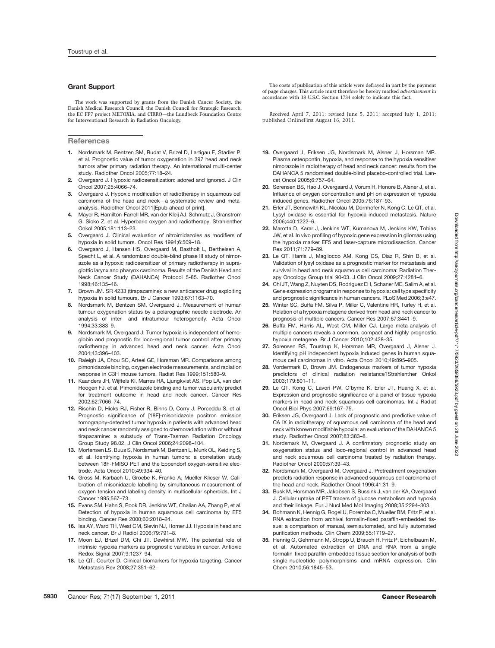### Grant Support

The work was supported by grants from the Danish Cancer Society, the Danish Medical Research Council, the Danish Council for Strategic Research, the EC FP7 project METOXIA, and CIRRO—the Lundbeck Foundation Centre for Interventional Research in Radiation Oncology.

### References

- 1. Nordsmark M, Bentzen SM, Rudat V, Brizel D, Lartigau E, Stadler P, et al. Prognostic value of tumor oxygenation in 397 head and neck tumors after primary radiation therapy. An international multi-center study. Radiother Oncol 2005;77:18–24.
- 2. Overgaard J. Hypoxic radiosensitization: adored and ignored. J Clin Oncol 2007;25:4066–74.
- 3. Overgaard J. Hypoxic modification of radiotherapy in squamous cell carcinoma of the head and neck—a systematic review and metaanalysis. Radiother Oncol 2011[Epub ahead of print].
- 4. Mayer R, Hamilton-Farrell MR, van der Kleij AJ, Schmutz J, Granstrom G, Sicko Z, et al. Hyperbaric oxygen and radiotherapy. Strahlenther Onkol 2005;181:113–23.
- 5. Overgaard J. Clinical evaluation of nitroimidazoles as modifiers of hypoxia in solid tumors. Oncol Res 1994;6:509–18.
- 6. Overgaard J, Hansen HS, Overgaard M, Bastholt L, Berthelsen A, Specht L, et al. A randomized double-blind phase III study of nimorazole as a hypoxic radiosensitizer of primary radiotherapy in supraglottic larynx and pharynx carcinoma. Results of the Danish Head and Neck Cancer Study (DAHANCA) Protocol 5-85. Radiother Oncol 1998;46:135–46.
- 7. Brown JM. SR 4233 (tirapazamine): a new anticancer drug exploiting hypoxia in solid tumours. Br J Cancer 1993;67:1163–70.
- 8. Nordsmark M, Bentzen SM, Overgaard J. Measurement of human tumour oxygenation status by a polarographic needle electrode. An analysis of inter- and intratumour heterogeneity. Acta Oncol 1994;33:383–9.
- 9. Nordsmark M, Overgaard J. Tumor hypoxia is independent of hemoglobin and prognostic for loco-regional tumor control after primary radiotherapy in advanced head and neck cancer. Acta Oncol 2004;43:396–403.
- 10. Raleigh JA, Chou SC, Arteel GE, Horsman MR. Comparisons among pimonidazole binding, oxygen electrode measurements, and radiation response in C3H mouse tumors. Radiat Res 1999;151:580–9.
- 11. Kaanders JH, Wijffels KI, Marres HA, Ljungkvist AS, Pop LA, van den Hoogen FJ, et al. Pimonidazole binding and tumor vascularity predict for treatment outcome in head and neck cancer. Cancer Res 2002;62:7066–74.
- 12. Rischin D, Hicks RJ, Fisher R, Binns D, Corry J, Porceddu S, et al. Prognostic significance of [18F]-misonidazole positron emission tomography-detected tumor hypoxia in patients with advanced head and neck cancer randomly assigned to chemoradiation with or without tirapazamine: a substudy of Trans-Tasman Radiation Oncology Group Study 98.02. J Clin Oncol 2006;24:2098–104.
- 13. Mortensen LS, Buus S, Nordsmark M, Bentzen L, Munk OL, Keiding S, et al. Identifying hypoxia in human tumors: a correlation study between 18F-FMISO PET and the Eppendorf oxygen-sensitive electrode. Acta Oncol 2010;49:934–40.
- 14. Gross M, Karbach U, Groebe K, Franko A, Mueller-Klieser W. Calibration of misonidazole labelling by simultaneous measurement of oxygen tension and labeling density in multicellular spheroids. Int J Cancer 1995;567–73.
- 15. Evans SM, Hahn S, Pook DR, Jenkins WT, Chalian AA, Zhang P, et al. Detection of hypoxia in human squamous cell carcinoma by EF5 binding. Cancer Res 2000;60:2018–24.
- 16. Isa AY, Ward TH, West CM, Slevin NJ, Homer JJ. Hypoxia in head and neck cancer. Br J Radiol 2006;79:791–8.
- 17. Moon EJ, Brizel DM, Chi JT, Dewhirst MW. The potential role of intrinsic hypoxia markers as prognostic variables in cancer. Antioxid Redox Signal 2007;9:1237–94.
- 18. Le QT, Courter D. Clinical biomarkers for hypoxia targeting. Cancer Metastasis Rev 2008;27:351–62.

The costs of publication of this article were defrayed in part by the payment of page charges. This article must therefore be hereby marked advertisement in accordance with 18 U.S.C. Section 1734 solely to indicate this fact.

Received April 7, 2011; revised June 5, 2011; accepted July 1, 2011; published OnlineFirst August 16, 2011.

- 19. Overgaard J, Eriksen JG, Nordsmark M, Alsner J, Horsman MR. Plasma osteopontin, hypoxia, and response to the hypoxia sensitiser nimorazole in radiotherapy of head and neck cancer: results from the DAHANCA 5 randomised double-blind placebo-controlled trial. Lancet Oncol 2005;6:757–64.
- 20. Sørensen BS, Hao J, Overgaard J, Vorum H, Honore B, Alsner J, et al. Influence of oxygen concentration and pH on expression of hypoxia induced genes. Radiother Oncol 2005;76:187–93.
- 21. Erler JT, Bennewith KL, Nicolau M, Dornhofer N, Kong C, Le QT, et al. Lysyl oxidase is essential for hypoxia-induced metastasis. Nature 2006;440:1222–6.
- 22. Marotta D, Karar J, Jenkins WT, Kumanova M, Jenkins KW, Tobias JW, et al. In vivo profiling of hypoxic gene expression in gliomas using the hypoxia marker EF5 and laser-capture microdissection. Cancer Res 2011;71:779–89.
- 23. Le QT, Harris J, Magliocco AM, Kong CS, Diaz R, Shin B, et al. Validation of lysyl oxidase as a prognostic marker for metastasis and survival in head and neck squamous cell carcinoma: Radiation Therapy Oncology Group trial 90-03. J Clin Oncol 2009;27:4281–6.
- 24. Chi JT, Wang Z, Nuyten DS, Rodriguez EH, Schaner ME, Salim A, et al. Gene expression programs in response to hypoxia: cell type specificity and prognostic significance in human cancers. PLoS Med 2006;3:e47.
- 25. Winter SC, Buffa FM, Silva P, Miller C, Valentine HR, Turley H, et al. Relation of a hypoxia metagene derived from head and neck cancer to prognosis of multiple cancers. Cancer Res 2007;67:3441–9.
- 26. Buffa FM, Harris AL, West CM, Miller CJ. Large meta-analysis of multiple cancers reveals a common, compact and highly prognostic hypoxia metagene. Br J Cancer 2010;102:428–35.
- 27. Sørensen BS, Toustrup K, Horsman MR, Overgaard J, Alsner J. Identifying pH independent hypoxia induced genes in human squamous cell carcinomas in vitro. Acta Oncol 2010;49:895–905.
- 28. Vordermark D, Brown JM. Endogenous markers of tumor hypoxia predictors of clinical radiation resistance?Strahlenther Onkol 2003;179:801–11.
- 29. Le QT, Kong C, Lavori PW, O'byrne K, Erler JT, Huang X, et al. Expression and prognostic significance of a panel of tissue hypoxia markers in head-and-neck squamous cell carcinomas. Int J Radiat Oncol Biol Phys 2007;69:167–75.
- 30. Eriksen JG, Overgaard J. Lack of prognostic and predictive value of CA IX in radiotherapy of squamous cell carcinoma of the head and neck with known modifiable hypoxia: an evaluation of the DAHANCA 5 study. Radiother Oncol 2007;83:383–8.
- 31. Nordsmark M, Overgaard J. A confirmatory prognostic study on oxygenation status and loco-regional control in advanced head and neck squamous cell carcinoma treated by radiation therapy. Radiother Oncol 2000;57:39–43.
- 32. Nordsmark M, Overgaard M, Overgaard J. Pretreatment oxygenation predicts radiation response in advanced squamous cell carcinoma of the head and neck. Radiother Oncol 1996;41:31–9.
- 33. Busk M, Horsman MR, Jakobsen S, Bussink J, van der KA, Overgaard J. Cellular uptake of PET tracers of glucose metabolism and hypoxia and their linkage. Eur J Nucl Med Mol Imaging 2008;35:2294–303.
- 34. Bohmann K, Hennig G, Rogel U, Poremba C, Mueller BM, Fritz P, et al. RNA extraction from archival formalin-fixed paraffin-embedded tissue: a comparison of manual, semiautomated, and fully automated purification methods. Clin Chem 2009;55:1719–27.
- 35. Hennig G, Gehrmann M, Stropp U, Brauch H, Fritz P, Eichelbaum M, et al. Automated extraction of DNA and RNA from a single formalin-fixed paraffin-embedded tissue section for analysis of both single-nucleotide polymorphisms and mRNA expression. Clin Chem 2010;56:1845–53.